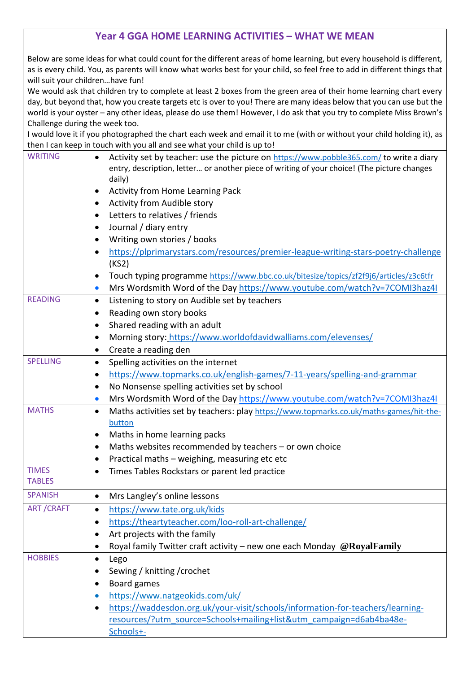## **Year 4 GGA HOME LEARNING ACTIVITIES – WHAT WE MEAN**

Below are some ideas for what could count for the different areas of home learning, but every household is different, as is every child. You, as parents will know what works best for your child, so feel free to add in different things that will suit your children…have fun!

We would ask that children try to complete at least 2 boxes from the green area of their home learning chart every day, but beyond that, how you create targets etc is over to you! There are many ideas below that you can use but the world is your oyster – any other ideas, please do use them! However, I do ask that you try to complete Miss Brown's Challenge during the week too.

I would love it if you photographed the chart each week and email it to me (with or without your child holding it), as then I can keep in touch with you all and see what your child is up to!

|                  | then I can keep in touch with you all and see what your child is up to:                                                                                                                          |
|------------------|--------------------------------------------------------------------------------------------------------------------------------------------------------------------------------------------------|
| <b>WRITING</b>   | Activity set by teacher: use the picture on https://www.pobble365.com/ to write a diary<br>entry, description, letter or another piece of writing of your choice! (The picture changes<br>daily) |
|                  | <b>Activity from Home Learning Pack</b>                                                                                                                                                          |
|                  | Activity from Audible story                                                                                                                                                                      |
|                  | Letters to relatives / friends                                                                                                                                                                   |
|                  | $\bullet$                                                                                                                                                                                        |
|                  | Journal / diary entry                                                                                                                                                                            |
|                  | Writing own stories / books                                                                                                                                                                      |
|                  | https://plprimarystars.com/resources/premier-league-writing-stars-poetry-challenge<br>(KS2)                                                                                                      |
|                  | Touch typing programme https://www.bbc.co.uk/bitesize/topics/zf2f9j6/articles/z3c6tfr                                                                                                            |
|                  | Mrs Wordsmith Word of the Day https://www.youtube.com/watch?v=7COMI3haz4I<br>$\bullet$                                                                                                           |
| <b>READING</b>   | Listening to story on Audible set by teachers<br>$\bullet$                                                                                                                                       |
|                  | Reading own story books                                                                                                                                                                          |
|                  | Shared reading with an adult                                                                                                                                                                     |
|                  | Morning story: https://www.worldofdavidwalliams.com/elevenses/<br>٠                                                                                                                              |
|                  | Create a reading den<br>$\bullet$                                                                                                                                                                |
| <b>SPELLING</b>  | Spelling activities on the internet                                                                                                                                                              |
|                  | https://www.topmarks.co.uk/english-games/7-11-years/spelling-and-grammar<br>٠                                                                                                                    |
|                  | No Nonsense spelling activities set by school<br>٠                                                                                                                                               |
|                  | Mrs Wordsmith Word of the Day https://www.youtube.com/watch?v=7COMI3haz4I<br>$\bullet$                                                                                                           |
| <b>MATHS</b>     | Maths activities set by teachers: play https://www.topmarks.co.uk/maths-games/hit-the-<br>$\bullet$                                                                                              |
|                  | button                                                                                                                                                                                           |
|                  | Maths in home learning packs<br>٠                                                                                                                                                                |
|                  | Maths websites recommended by teachers - or own choice<br>$\bullet$                                                                                                                              |
|                  | Practical maths - weighing, measuring etc etc                                                                                                                                                    |
| <b>TIMES</b>     | Times Tables Rockstars or parent led practice<br>$\bullet$                                                                                                                                       |
| <b>TABLES</b>    |                                                                                                                                                                                                  |
| <b>SPANISH</b>   | Mrs Langley's online lessons                                                                                                                                                                     |
| <b>ART/CRAFT</b> | https://www.tate.org.uk/kids                                                                                                                                                                     |
|                  | https://theartyteacher.com/loo-roll-art-challenge/                                                                                                                                               |
|                  | Art projects with the family<br>$\bullet$                                                                                                                                                        |
|                  | Royal family Twitter craft activity - new one each Monday @ Royal Family<br>٠                                                                                                                    |
| <b>HOBBIES</b>   | Lego<br>$\bullet$                                                                                                                                                                                |
|                  | Sewing / knitting / crochet                                                                                                                                                                      |
|                  | Board games                                                                                                                                                                                      |
|                  | https://www.natgeokids.com/uk/<br>$\bullet$                                                                                                                                                      |
|                  | https://waddesdon.org.uk/your-visit/schools/information-for-teachers/learning-                                                                                                                   |
|                  | resources/?utm_source=Schools+mailing+list&utm_campaign=d6ab4ba48e-                                                                                                                              |
|                  | Schools+-                                                                                                                                                                                        |